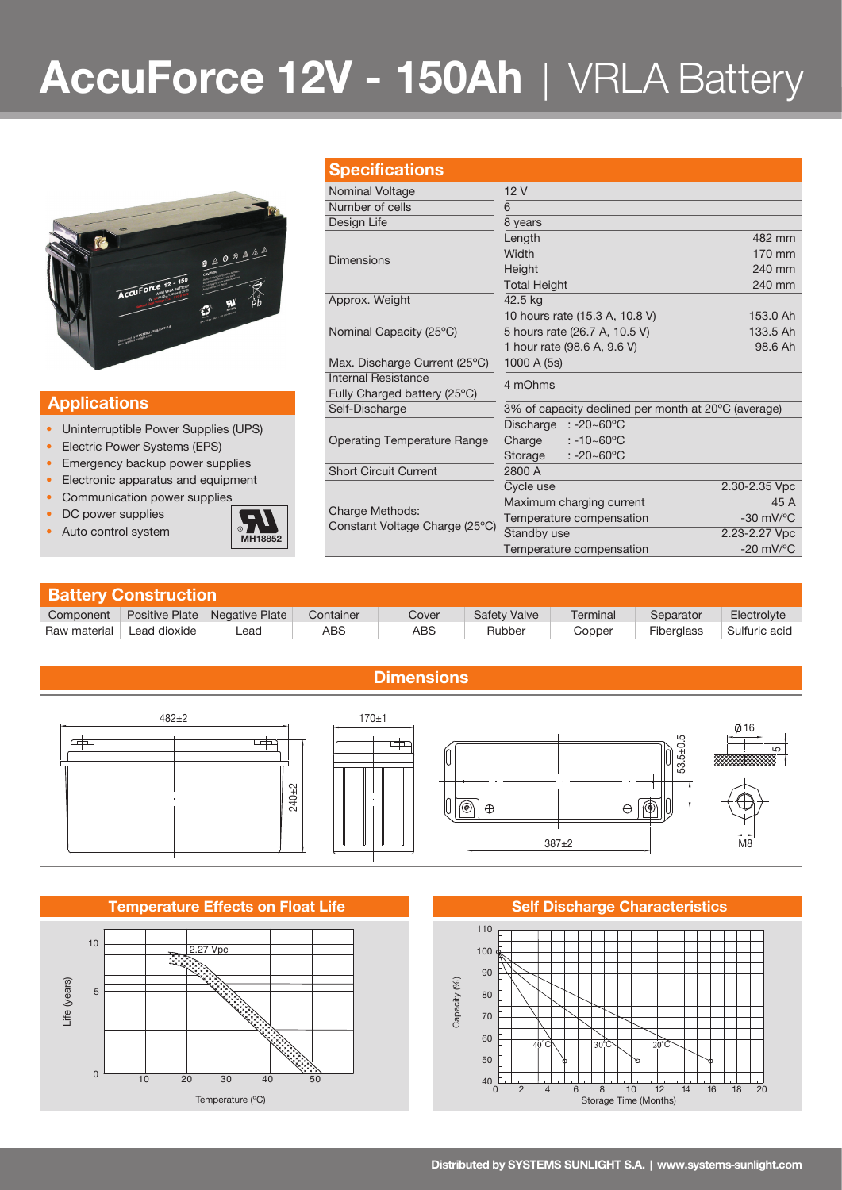# **AccuForce 12V - 150Ah** | VRLA Battery



### **Applications**

- Uninterruptible Power Supplies (UPS)
- Electric Power Systems (EPS)
- Emergency backup power supplies
- Electronic apparatus and equipment
- Communication power supplies
- DC power supplies
- 



| <b>Specifications</b>                             |                                                     |                                |  |  |  |
|---------------------------------------------------|-----------------------------------------------------|--------------------------------|--|--|--|
|                                                   |                                                     |                                |  |  |  |
| Nominal Voltage                                   | 12V                                                 |                                |  |  |  |
| Number of cells                                   | 6                                                   |                                |  |  |  |
| Design Life                                       | 8 years                                             |                                |  |  |  |
|                                                   | Length                                              | 482 mm                         |  |  |  |
| <b>Dimensions</b>                                 | Width                                               | 170 mm                         |  |  |  |
|                                                   | Height                                              | 240 mm                         |  |  |  |
|                                                   | <b>Total Height</b>                                 | 240 mm                         |  |  |  |
| Approx. Weight                                    | 42.5 kg                                             |                                |  |  |  |
|                                                   | 10 hours rate (15.3 A, 10.8 V)                      | 153.0 Ah                       |  |  |  |
| Nominal Capacity (25°C)                           | 5 hours rate (26.7 A, 10.5 V)                       | 133.5 Ah                       |  |  |  |
|                                                   | 1 hour rate (98.6 A, 9.6 V)                         | 98.6 Ah                        |  |  |  |
| Max. Discharge Current (25°C)                     | 1000 A (5s)                                         |                                |  |  |  |
| Internal Resistance                               |                                                     |                                |  |  |  |
| Fully Charged battery (25°C)                      | 4 mOhms                                             |                                |  |  |  |
| Self-Discharge                                    | 3% of capacity declined per month at 20°C (average) |                                |  |  |  |
|                                                   | Discharge<br>:-20~60°C                              |                                |  |  |  |
| Operating Temperature Range                       | Charge<br>$: -10 - 60^{\circ}$ C                    |                                |  |  |  |
|                                                   | Storage<br>$: -20 - 60^{\circ}$ C                   |                                |  |  |  |
| <b>Short Circuit Current</b>                      | 2800 A                                              |                                |  |  |  |
| Charge Methods:<br>Constant Voltage Charge (25°C) | Cycle use                                           | 2.30-2.35 Vpc                  |  |  |  |
|                                                   | Maximum charging current                            | 45 A                           |  |  |  |
|                                                   | Temperature compensation                            | $-30$ mV/ $^{\circ}$ C         |  |  |  |
|                                                   | Standby use                                         | 2.23-2.27 Vpc                  |  |  |  |
|                                                   | Temperature compensation                            | $-20$ mV/ $\mathrm{^{\circ}C}$ |  |  |  |

| <b>Battery Construction</b> |                       |                |           |       |                     |          |                   |               |  |  |
|-----------------------------|-----------------------|----------------|-----------|-------|---------------------|----------|-------------------|---------------|--|--|
| Component                   | <b>Positive Plate</b> | Negative Plate | Container | Cover | <b>Safety Valve</b> | Terminal | Separator         | Electrolyte   |  |  |
| Raw material                | Lead dioxide          | _ead           | ABS       | ABS   | Rubber              | Copper   | <b>Fiberglass</b> | Sulfuric acid |  |  |



### **Temperature Effects on Float Life**



**Self Discharge Characteristics**